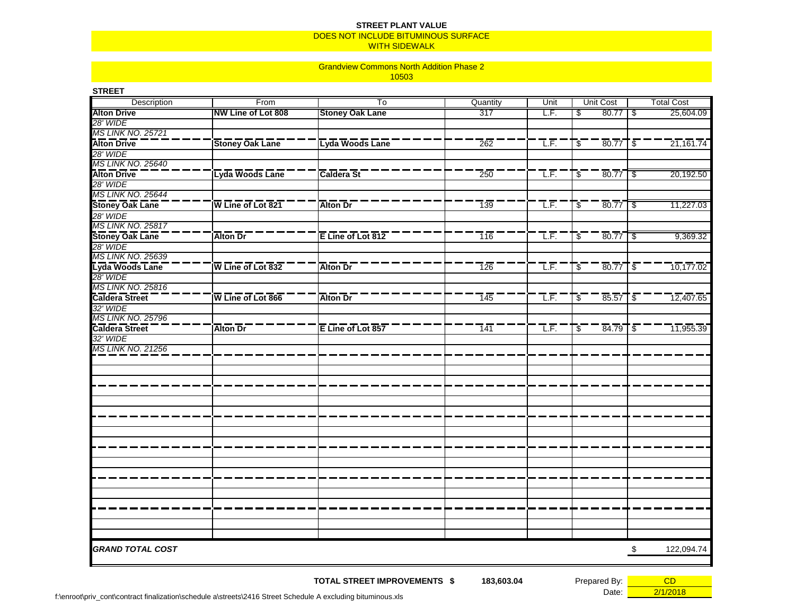## DOES NOT INCLUDE BITUMINOUS SURFACE **STREET PLANT VALUE**

WITH SIDEWALK

## 10503 Grandview Commons North Addition Phase 2

| Unit Cost<br><b>Total Cost</b><br>Quantity<br>Unit<br>Description<br>From<br>To<br>NW Line of Lot 808<br>25,604.09<br><b>Stoney Oak Lane</b><br>317<br>LF.<br>80.77<br>  \$<br>\$<br><b>MS LINK NO. 25721</b><br>Lyda Woods Lane<br>21,161.74<br><b>Stoney Oak Lane</b><br>262<br>T.F.<br>ิ \$ ิ<br>$80.77$ \;<br>Lyda Woods Lane<br>Caldera St<br>T.F.<br>20,192.50<br>-\$_<br>80.77<br>250<br>-\$<br>28' WIDE<br>$\overline{W}$ Line of Lot 821<br>$80.77$ $\overline{\$}$<br><b>Alton Dr</b><br>$\overline{1}39$<br>T.F.<br>$\overline{\mathcal{S}}$<br>11,227.03<br>28' WIDE<br>Alton Dr<br>E Line of Lot 812<br>T.F.<br><b>Stoney Oak Lane</b><br>$\overline{116}$<br>$80.77$ $\frac{1}{9}$<br>9,369.32<br>$\mathcal{L}$<br>Lyda Woods Lane<br>$\overline{W}$ Line of Lot 832<br>T.F.<br>80.77<br>10,177.02<br><b>Alton Dr</b><br>$\overline{126}$<br>\$<br>$-\frac{2}{3}$<br>28' WIDE<br><b>MS LINK NO. 25816</b><br>Caldera Street<br>$\overline{W}$ Line of Lot 866<br>Alton Dr<br>145<br>T.F.<br>-\$_<br>$85.57$ \ $\frac{2}{3}$<br>12,407.65<br>32' WIDE<br>MS LINK NO. 25796<br>Caldera Street<br><b>Alton Dr</b><br>E Line of Lot 857<br>T.F.<br>$84.79$ $\overline{\$}$<br>11,955.39<br>141<br>\$<br>32' WIDE<br>MS LINK NO. 21256<br><b>GRAND TOTAL COST</b><br>122,094.74<br>\$ | <b>STREET</b>            |  |  |  |  |
|------------------------------------------------------------------------------------------------------------------------------------------------------------------------------------------------------------------------------------------------------------------------------------------------------------------------------------------------------------------------------------------------------------------------------------------------------------------------------------------------------------------------------------------------------------------------------------------------------------------------------------------------------------------------------------------------------------------------------------------------------------------------------------------------------------------------------------------------------------------------------------------------------------------------------------------------------------------------------------------------------------------------------------------------------------------------------------------------------------------------------------------------------------------------------------------------------------------------------------------------------------------------------------------------|--------------------------|--|--|--|--|
|                                                                                                                                                                                                                                                                                                                                                                                                                                                                                                                                                                                                                                                                                                                                                                                                                                                                                                                                                                                                                                                                                                                                                                                                                                                                                                |                          |  |  |  |  |
|                                                                                                                                                                                                                                                                                                                                                                                                                                                                                                                                                                                                                                                                                                                                                                                                                                                                                                                                                                                                                                                                                                                                                                                                                                                                                                | <b>Alton Drive</b>       |  |  |  |  |
|                                                                                                                                                                                                                                                                                                                                                                                                                                                                                                                                                                                                                                                                                                                                                                                                                                                                                                                                                                                                                                                                                                                                                                                                                                                                                                | 28' WIDE                 |  |  |  |  |
|                                                                                                                                                                                                                                                                                                                                                                                                                                                                                                                                                                                                                                                                                                                                                                                                                                                                                                                                                                                                                                                                                                                                                                                                                                                                                                |                          |  |  |  |  |
|                                                                                                                                                                                                                                                                                                                                                                                                                                                                                                                                                                                                                                                                                                                                                                                                                                                                                                                                                                                                                                                                                                                                                                                                                                                                                                | <b>Alton Drive</b>       |  |  |  |  |
|                                                                                                                                                                                                                                                                                                                                                                                                                                                                                                                                                                                                                                                                                                                                                                                                                                                                                                                                                                                                                                                                                                                                                                                                                                                                                                | 28' WIDE                 |  |  |  |  |
|                                                                                                                                                                                                                                                                                                                                                                                                                                                                                                                                                                                                                                                                                                                                                                                                                                                                                                                                                                                                                                                                                                                                                                                                                                                                                                | <b>MS LINK NO. 25640</b> |  |  |  |  |
|                                                                                                                                                                                                                                                                                                                                                                                                                                                                                                                                                                                                                                                                                                                                                                                                                                                                                                                                                                                                                                                                                                                                                                                                                                                                                                | <b>Alton Drive</b>       |  |  |  |  |
|                                                                                                                                                                                                                                                                                                                                                                                                                                                                                                                                                                                                                                                                                                                                                                                                                                                                                                                                                                                                                                                                                                                                                                                                                                                                                                |                          |  |  |  |  |
|                                                                                                                                                                                                                                                                                                                                                                                                                                                                                                                                                                                                                                                                                                                                                                                                                                                                                                                                                                                                                                                                                                                                                                                                                                                                                                | MS LINK NO. 25644        |  |  |  |  |
|                                                                                                                                                                                                                                                                                                                                                                                                                                                                                                                                                                                                                                                                                                                                                                                                                                                                                                                                                                                                                                                                                                                                                                                                                                                                                                | <b>Stoney Oak Lane</b>   |  |  |  |  |
|                                                                                                                                                                                                                                                                                                                                                                                                                                                                                                                                                                                                                                                                                                                                                                                                                                                                                                                                                                                                                                                                                                                                                                                                                                                                                                |                          |  |  |  |  |
|                                                                                                                                                                                                                                                                                                                                                                                                                                                                                                                                                                                                                                                                                                                                                                                                                                                                                                                                                                                                                                                                                                                                                                                                                                                                                                | <b>MS LINK NO. 25817</b> |  |  |  |  |
|                                                                                                                                                                                                                                                                                                                                                                                                                                                                                                                                                                                                                                                                                                                                                                                                                                                                                                                                                                                                                                                                                                                                                                                                                                                                                                |                          |  |  |  |  |
|                                                                                                                                                                                                                                                                                                                                                                                                                                                                                                                                                                                                                                                                                                                                                                                                                                                                                                                                                                                                                                                                                                                                                                                                                                                                                                | 28' WIDE                 |  |  |  |  |
|                                                                                                                                                                                                                                                                                                                                                                                                                                                                                                                                                                                                                                                                                                                                                                                                                                                                                                                                                                                                                                                                                                                                                                                                                                                                                                | <b>MS LINK NO. 25639</b> |  |  |  |  |
|                                                                                                                                                                                                                                                                                                                                                                                                                                                                                                                                                                                                                                                                                                                                                                                                                                                                                                                                                                                                                                                                                                                                                                                                                                                                                                |                          |  |  |  |  |
|                                                                                                                                                                                                                                                                                                                                                                                                                                                                                                                                                                                                                                                                                                                                                                                                                                                                                                                                                                                                                                                                                                                                                                                                                                                                                                |                          |  |  |  |  |
|                                                                                                                                                                                                                                                                                                                                                                                                                                                                                                                                                                                                                                                                                                                                                                                                                                                                                                                                                                                                                                                                                                                                                                                                                                                                                                |                          |  |  |  |  |
|                                                                                                                                                                                                                                                                                                                                                                                                                                                                                                                                                                                                                                                                                                                                                                                                                                                                                                                                                                                                                                                                                                                                                                                                                                                                                                |                          |  |  |  |  |
|                                                                                                                                                                                                                                                                                                                                                                                                                                                                                                                                                                                                                                                                                                                                                                                                                                                                                                                                                                                                                                                                                                                                                                                                                                                                                                |                          |  |  |  |  |
|                                                                                                                                                                                                                                                                                                                                                                                                                                                                                                                                                                                                                                                                                                                                                                                                                                                                                                                                                                                                                                                                                                                                                                                                                                                                                                |                          |  |  |  |  |
|                                                                                                                                                                                                                                                                                                                                                                                                                                                                                                                                                                                                                                                                                                                                                                                                                                                                                                                                                                                                                                                                                                                                                                                                                                                                                                |                          |  |  |  |  |
|                                                                                                                                                                                                                                                                                                                                                                                                                                                                                                                                                                                                                                                                                                                                                                                                                                                                                                                                                                                                                                                                                                                                                                                                                                                                                                |                          |  |  |  |  |
|                                                                                                                                                                                                                                                                                                                                                                                                                                                                                                                                                                                                                                                                                                                                                                                                                                                                                                                                                                                                                                                                                                                                                                                                                                                                                                |                          |  |  |  |  |
|                                                                                                                                                                                                                                                                                                                                                                                                                                                                                                                                                                                                                                                                                                                                                                                                                                                                                                                                                                                                                                                                                                                                                                                                                                                                                                |                          |  |  |  |  |
|                                                                                                                                                                                                                                                                                                                                                                                                                                                                                                                                                                                                                                                                                                                                                                                                                                                                                                                                                                                                                                                                                                                                                                                                                                                                                                |                          |  |  |  |  |
|                                                                                                                                                                                                                                                                                                                                                                                                                                                                                                                                                                                                                                                                                                                                                                                                                                                                                                                                                                                                                                                                                                                                                                                                                                                                                                |                          |  |  |  |  |
|                                                                                                                                                                                                                                                                                                                                                                                                                                                                                                                                                                                                                                                                                                                                                                                                                                                                                                                                                                                                                                                                                                                                                                                                                                                                                                |                          |  |  |  |  |
|                                                                                                                                                                                                                                                                                                                                                                                                                                                                                                                                                                                                                                                                                                                                                                                                                                                                                                                                                                                                                                                                                                                                                                                                                                                                                                |                          |  |  |  |  |
|                                                                                                                                                                                                                                                                                                                                                                                                                                                                                                                                                                                                                                                                                                                                                                                                                                                                                                                                                                                                                                                                                                                                                                                                                                                                                                |                          |  |  |  |  |
|                                                                                                                                                                                                                                                                                                                                                                                                                                                                                                                                                                                                                                                                                                                                                                                                                                                                                                                                                                                                                                                                                                                                                                                                                                                                                                |                          |  |  |  |  |
|                                                                                                                                                                                                                                                                                                                                                                                                                                                                                                                                                                                                                                                                                                                                                                                                                                                                                                                                                                                                                                                                                                                                                                                                                                                                                                |                          |  |  |  |  |
|                                                                                                                                                                                                                                                                                                                                                                                                                                                                                                                                                                                                                                                                                                                                                                                                                                                                                                                                                                                                                                                                                                                                                                                                                                                                                                |                          |  |  |  |  |
|                                                                                                                                                                                                                                                                                                                                                                                                                                                                                                                                                                                                                                                                                                                                                                                                                                                                                                                                                                                                                                                                                                                                                                                                                                                                                                |                          |  |  |  |  |
|                                                                                                                                                                                                                                                                                                                                                                                                                                                                                                                                                                                                                                                                                                                                                                                                                                                                                                                                                                                                                                                                                                                                                                                                                                                                                                |                          |  |  |  |  |
|                                                                                                                                                                                                                                                                                                                                                                                                                                                                                                                                                                                                                                                                                                                                                                                                                                                                                                                                                                                                                                                                                                                                                                                                                                                                                                |                          |  |  |  |  |
|                                                                                                                                                                                                                                                                                                                                                                                                                                                                                                                                                                                                                                                                                                                                                                                                                                                                                                                                                                                                                                                                                                                                                                                                                                                                                                |                          |  |  |  |  |
|                                                                                                                                                                                                                                                                                                                                                                                                                                                                                                                                                                                                                                                                                                                                                                                                                                                                                                                                                                                                                                                                                                                                                                                                                                                                                                |                          |  |  |  |  |
|                                                                                                                                                                                                                                                                                                                                                                                                                                                                                                                                                                                                                                                                                                                                                                                                                                                                                                                                                                                                                                                                                                                                                                                                                                                                                                |                          |  |  |  |  |
|                                                                                                                                                                                                                                                                                                                                                                                                                                                                                                                                                                                                                                                                                                                                                                                                                                                                                                                                                                                                                                                                                                                                                                                                                                                                                                |                          |  |  |  |  |
|                                                                                                                                                                                                                                                                                                                                                                                                                                                                                                                                                                                                                                                                                                                                                                                                                                                                                                                                                                                                                                                                                                                                                                                                                                                                                                |                          |  |  |  |  |
|                                                                                                                                                                                                                                                                                                                                                                                                                                                                                                                                                                                                                                                                                                                                                                                                                                                                                                                                                                                                                                                                                                                                                                                                                                                                                                |                          |  |  |  |  |
|                                                                                                                                                                                                                                                                                                                                                                                                                                                                                                                                                                                                                                                                                                                                                                                                                                                                                                                                                                                                                                                                                                                                                                                                                                                                                                |                          |  |  |  |  |
|                                                                                                                                                                                                                                                                                                                                                                                                                                                                                                                                                                                                                                                                                                                                                                                                                                                                                                                                                                                                                                                                                                                                                                                                                                                                                                |                          |  |  |  |  |
|                                                                                                                                                                                                                                                                                                                                                                                                                                                                                                                                                                                                                                                                                                                                                                                                                                                                                                                                                                                                                                                                                                                                                                                                                                                                                                |                          |  |  |  |  |

**TOTAL STREET IMPROVEMENTS**

**183,603.04** Prepared By: **CD** Date: 2/1/2018